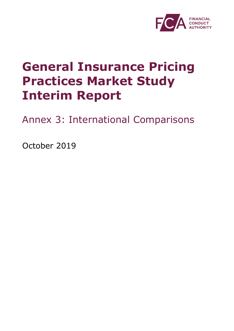

# **General Insurance Pricing Practices Market Study Interim Report**

Annex 3: International Comparisons

October 2019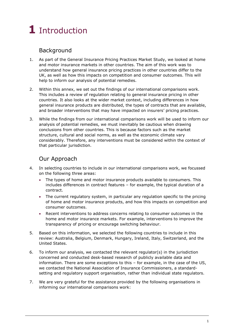# **1** Introduction

## Background

- 1. As part of the General Insurance Pricing Practices Market Study, we looked at home and motor insurance markets in other countries. The aim of this work was to understand how general insurance pricing practices in other countries differ to the UK, as well as how this impacts on competition and consumer outcomes. This will help to inform our analysis of potential remedies.
- 2. Within this annex, we set out the findings of our international comparisons work. This includes a review of regulation relating to general insurance pricing in other countries. It also looks at the wider market context, including differences in how general insurance products are distributed, the types of contracts that are available, and broader interventions that may have impacted on insurers' pricing practices.
- 3. While the findings from our international comparisons work will be used to inform our analysis of potential remedies, we must inevitably be cautious when drawing conclusions from other countries. This is because factors such as the market structure, cultural and social norms, as well as the economic climate vary considerably. Therefore, any interventions must be considered within the context of that particular jurisdiction.

## Our Approach

- 4. In selecting countries to include in our international comparisons work, we focussed on the following three areas:
	- The types of home and motor insurance products available to consumers. This includes differences in contract features – for example, the typical duration of a contract.
	- The current regulatory system, in particular any regulation specific to the pricing of home and motor insurance products, and how this impacts on competition and consumer outcomes.
	- Recent interventions to address concerns relating to consumer outcomes in the home and motor insurance markets. For example, interventions to improve the transparency of pricing or encourage switching behaviour.
- 5. Based on this information, we selected the following countries to include in this review: Australia, Belgium, Denmark, Hungary, Ireland, Italy, Switzerland, and the United States.
- 6. To inform our analysis, we contacted the relevant regulator(s) in the jurisdiction concerned and conducted desk-based research of publicly available data and information. There are some exceptions to this – for example, in the case of the US, we contacted the National Association of Insurance Commissioners, a standardsetting and regulatory support organisation, rather than individual state regulators.
- 7. We are very grateful for the assistance provided by the following organisations in informing our international comparisons work: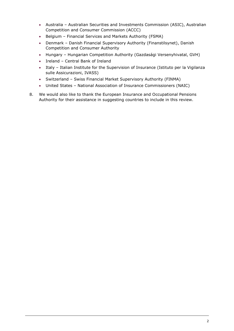- Australia Australian Securities and Investments Commission (ASIC), Australian Competition and Consumer Commission (ACCC)
- Belgium Financial Services and Markets Authority (FSMA)
- Denmark Danish Financial Supervisory Authority (Finanstilsynet), Danish Competition and Consumer Authority
- Hungary Hungarian Competition Authority (Gazdasági Versenyhivatal, GVH)
- Ireland Central Bank of Ireland
- Italy Italian Institute for the Supervision of Insurance (Istituto per la Vigilanza sulle Assicurazioni, IVASS)
- Switzerland Swiss Financial Market Supervisory Authority (FINMA)
- United States National Association of Insurance Commissioners (NAIC)
- 8. We would also like to thank the European Insurance and Occupational Pensions Authority for their assistance in suggesting countries to include in this review.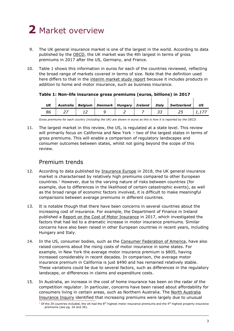# **2** Market overview

- 9. The UK general insurance market is one of the largest in the world. According to data published by the [OECD,](https://stats.oecd.org/Index.aspx?DatasetCode=INSIND) the UK market was the 4th largest in terms of gross premiums in 2017 after the US, Germany, and France.
- 10. Table 1 shows this information in euros for each of the countries reviewed, reflecting the broad range of markets covered in terms of size. Note that the definition used here differs to that in the [interim market study report](https://www.fca.org.uk/publication/market-studies/ms18-1-2-interim-report.pdf) because it includes products in addition to home and motor insurance, such as business insurance.

| UK |  | Australia   Belgium   Denmark   Hungary   Ireland   Italy |  | $\blacksquare$ Switzerland | US |
|----|--|-----------------------------------------------------------|--|----------------------------|----|
|    |  |                                                           |  |                            |    |

**Table 1: Non-life insurance gross premiums (euros, billions) in 2017**

*Gross premiums for each country (including the UK) are shown in euros as this is how it is reported by the OECD.*

11. The largest market in this review, the US, is regulated at a state level. This review will primarily focus on California and New York – two of the largest states in terms of gross premiums. This will enable a comparison of regulatory landscapes and consumer outcomes between states, whilst not going beyond the scope of this review.

## Premium trends

- 12. According to data published by [Insurance Europe](https://www.insuranceeurope.eu/sites/default/files/attachments/European%20insurance%20-%20Key%20facts%20-%20October%202018.pdf) in 2018, the UK general insurance market is characterised by relatively high premiums compared to other European countries. <sup>1</sup> However, due to the varying nature of risks between countries (for example, due to differences in the likelihood of certain catastrophic events), as well as the broad range of economic factors involved, it is difficult to make meaningful comparisons between average premiums in different countries.
- 13. It is notable though that there have been concerns in several countries about the increasing cost of insurance. For example, the Department of Finance in Ireland published a [Report on the Cost of Motor Insurance](http://www.finance.gov.ie/wp-content/uploads/2017/07/170110-Report-on-the-Cost-of-Motor-Insurance-2017.pdf) in 2017, which investigated the factors that had led to a dramatic increase in motor insurance premiums. Similar concerns have also been raised in other European countries in recent years, including Hungary and Italy.
- 14. In the US, consumer bodies, such as the [Consumer Federation of America,](https://consumerfed.org/wp-content/uploads/2019/02/auto-insurance-regulation-what-works-2019.pdf) have also raised concerns about the rising costs of motor insurance in some states. For example, in New York the average motor insurance premium is \$805, having increased considerably in recent decades. In comparison, the average motor insurance premium in California is just \$490 and has remained relatively stable. These variations could be due to several factors, such as differences in the regulatory landscape, or differences in claims and expenditure costs.
- 15. In Australia, an increase in the cost of home insurance has been on the radar of the competition regulator. In particular, concerns have been raised about affordability for consumers living in certain areas, such as Northern Australia. The [North Australia](https://www.accc.gov.au/system/files/Northern%20Australia%20Insurance%20Inquiry%20-%20First%20interim%20report%202018.PDF)  [Insurance Inquiry](https://www.accc.gov.au/system/files/Northern%20Australia%20Insurance%20Inquiry%20-%20First%20interim%20report%202018.PDF) identified that increasing premiums were largely due to unusual

<sup>&</sup>lt;sup>1</sup> Of the 29 countries included, the UK had the 8<sup>th</sup> highest motor insurance premiums and the 4<sup>th</sup> highest property insurance premiums (see pg. 24 and 26).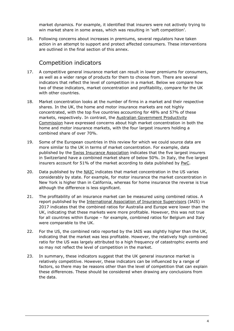market dynamics. For example, it identified that insurers were not actively trying to win market share in some areas, which was resulting in 'soft competition'.

16. Following concerns about increases in premiums, several regulators have taken action in an attempt to support and protect affected consumers. These interventions are outlined in the final section of this annex.

#### Competition indicators

- 17. A competitive general insurance market can result in lower premiums for consumers, as well as a wider range of products for them to choose from. There are several indicators that reflect the level of competition in a market. Below we compare how two of these indicators, market concentration and profitability, compare for the UK with other countries.
- 18. Market concentration looks at the number of firms in a market and their respective shares. In the UK, the home and motor insurance markets are not highly concentrated, with the top five countries accounting for 48% and 57% of these markets, respectively. In contrast, the [Australian Government Productivity](https://www.pc.gov.au/inquiries/completed/financial-system/report/financial-system.pdf)  [Commission](https://www.pc.gov.au/inquiries/completed/financial-system/report/financial-system.pdf) have expressed concerns about high market concentration in both the home and motor insurance markets, with the four largest insurers holding a combined share of over 70%.
- 19. Some of the European countries in this review for which we could source data are more similar to the UK in terms of market concentration. For example, data published by the [Swiss Insurance Association](https://www.svv.ch/en/insurance/facts-figures/property-and-casualty-insurance/overall-view-non-life-insurance) indicates that the five largest insurers in Switzerland have a combined market share of below 50%. In Italy, the five largest insurers account for 51% of the market according to data published by [PwC.](https://www.pwc.com/it/it/publications/italian-insurance-market/doc/pwc-the-Italian-insurance-market.pdf)
- 20. Data published by the [NAIC](https://www.naic.org/documents/cmte_c_sdwg_180628_competition_report.pdf) indicates that market concentration in the US varies considerably by state. For example, for motor insurance the market concentration in New York is higher than in California, whereas for home insurance the reverse is true although the difference is less significant.
- 21. The profitability of an insurance market can be measured using combined ratios. A report published by the [International Association of Insurance Supervisors](https://www.iaisweb.org/page/supervisory-material/financial-stability-and-macroprudential-policy-and-surveillance/global-insurance-market-report-gimar) (IAIS) in 2017 indicates that the combined ratios for Australia and Europe were lower than the UK, indicating that these markets were more profitable. However, this was not true for all countries within Europe – for example, combined ratios for Belgium and Italy were comparable to the UK.
- 22. For the US, the combined ratio reported by the IAIS was slightly higher than the UK, indicating that the market was less profitable. However, the relatively high combined ratio for the US was largely attributed to a high frequency of catastrophic events and so may not reflect the level of competition in the market.
- 23. In summary, these indicators suggest that the UK general insurance market is relatively competitive. However, these indicators can be influenced by a range of factors, so there may be reasons other than the level of competition that can explain these differences. These should be considered when drawing any conclusions from the data.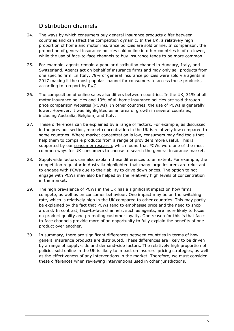## Distribution channels

- 24. The ways by which consumers buy general insurance products differ between countries and can affect the competition dynamic. In the UK, a relatively high proportion of home and motor insurance policies are sold online. In comparison, the proportion of general insurance policies sold online in other countries is often lower, while the use of face-to-face channels to buy insurance tends to be more common.
- 25. For example, agents remain a popular distribution channel in Hungary, Italy, and Switzerland. Agents act on behalf of insurance firms and may only sell products from one specific firm. In Italy, 79% of general insurance policies were sold via agents in 2017 making it the most popular channel for consumers to access these products, according to a report by [PwC.](https://www.pwc.com/it/it/publications/italian-insurance-market/doc/pwc-the-Italian-insurance-market.pdf)
- 26. The composition of online sales also differs between countries. In the UK, 31% of all motor insurance policies and 13% of all home insurance policies are sold through price comparison websites (PCWs). In other countries, the use of PCWs is generally lower. However, it was highlighted as an area of growth in several countries, including Australia, Belgium, and Italy.
- 27. These differences can be explained by a range of factors. For example, as discussed in the previous section, market concentration in the UK is relatively low compared to some countries. Where market concentration is low, consumers may find tools that help them to compare products from a range of providers more useful. This is supported by our [consumer research,](https://www.fca.org.uk/publication/market-studies/ms18-1-2-annex-4.pdf) which found that PCWs were one of the most common ways for UK consumers to choose to search the general insurance market.
- 28. Supply-side factors can also explain these differences to an extent. For example, the competition regulator in Australia highlighted that many large insurers are reluctant to engage with PCWs due to their ability to drive down prices. The option to not engage with PCWs may also be helped by the relatively high levels of concentration in the market.
- 29. The high prevalence of PCWs in the UK has a significant impact on how firms compete, as well as on consumer behaviour. One impact may be on the switching rate, which is relatively high in the UK compared to other countries. This may partly be explained by the fact that PCWs tend to emphasise price and the need to shop around. In contrast, face-to-face channels, such as agents, are more likely to focus on product quality and promoting customer loyalty. One reason for this is that faceto-face channels provide more of an opportunity to fully explain the benefits of one product over another.
- 30. In summary, there are significant differences between countries in terms of how general insurance products are distributed. These differences are likely to be driven by a range of supply-side and demand-side factors. The relatively high proportion of policies sold online in the UK is likely to impact on insurers' pricing strategies, as well as the effectiveness of any interventions in the market. Therefore, we must consider these differences when reviewing interventions used in other jurisdictions.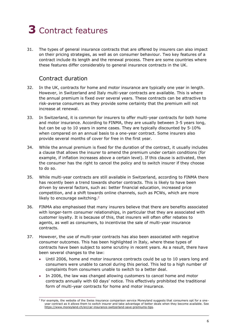# **3** Contract features

31. The types of general insurance contracts that are offered by insurers can also impact on their pricing strategies, as well as on consumer behaviour. Two key features of a contract include its length and the renewal process. There are some countries where these features differ considerably to general insurance contracts in the UK.

### Contract duration

- 32. In the UK, contracts for home and motor insurance are typically one year in length. However, in Switzerland and Italy multi-year contracts are available. This is where the annual premium is fixed over several years. These contracts can be attractive to risk-averse consumers as they provide some certainty that the premium will not increase at renewal.
- 33. In Switzerland, it is common for insurers to offer multi-year contracts for both home and motor insurance. According to FINMA, they are usually between 3-5 years long, but can be up to 10 years in some cases. They are typically discounted by 5-10% when compared on an annual basis to a one-year contract. Some insurers also provide several months of cover for free in the first year.
- 34. While the annual premium is fixed for the duration of the contract, it usually includes a clause that allows the insurer to amend the premium under certain conditions (for example, if inflation increases above a certain level). If this clause is activated, then the consumer has the right to cancel the policy and to switch insurer if they choose to do so.
- 35. While multi-year contracts are still available in Switzerland, according to FINMA there has recently been a trend towards shorter contracts. This is likely to have been driven by several factors, such as: better financial education, increased price competition, and a shift towards online channels, such as PCWs, which are more likely to encourage switching.<sup>2</sup>
- 36. FINMA also emphasised that many insurers believe that there are benefits associated with longer-term consumer relationships, in particular that they are associated with customer loyalty. It is because of this, that insurers will often offer rebates to agents, as well as consumers, to incentivise the sale of multi-year insurance contracts.
- 37. However, the use of multi-year contracts has also been associated with negative consumer outcomes. This has been highlighted in Italy, where these types of contracts have been subject to some scrutiny in recent years. As a result, there have been several changes to the law:
	- Until 2006, home and motor insurance contracts could be up to 10 years long and consumers were unable to cancel during this period. This led to a high number of complaints from consumers unable to switch to a better deal.
	- In 2006, the law was changed allowing customers to cancel home and motor contracts annually with 60 days' notice. This effectively prohibited the traditional form of multi-year contracts for home and motor insurance.

 $2$  For example, the website of the Swiss insurance comparison service Moneyland suggests that consumers opt for a oneyear contract as it allows them to switch insurer and take advantage of better deals when they become available. See [https://www.moneyland.ch/en/car-insurance-switzerland-save-premiums-tips.](https://www.moneyland.ch/en/car-insurance-switzerland-save-premiums-tips)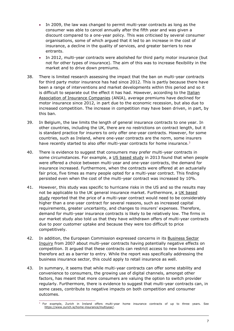- In 2009, the law was changed to permit multi-year contracts as long as the consumer was able to cancel annually after the fifth year and was given a discount compared to a one-year policy. This was criticised by several consumer organisations, some of which argued that it led to an increase in the cost of insurance, a decline in the quality of services, and greater barriers to new entrants.
- In 2012, multi-year contracts were abolished for third party motor insurance (but not for other types of insurance). The aim of this was to increase flexibility in the market and to drive down premiums.
- 38. There is limited research assessing the impact that the ban on multi-year contracts for third party motor insurance has had since 2012. This is partly because there have been a range of interventions and market developments within this period and so it is difficult to separate out the effect it has had. However, according to the [Italian](http://www.ania.it/export/sites/default/it/pubblicazioni/rapporti-annuali/Italian-Insurance-Statistical-appendix/Italian-Insurance/2017-2018/ANIA-ITALIAN-INSURANCE-2017-18.pdf)  [Association of Insurance Companies](http://www.ania.it/export/sites/default/it/pubblicazioni/rapporti-annuali/Italian-Insurance-Statistical-appendix/Italian-Insurance/2017-2018/ANIA-ITALIAN-INSURANCE-2017-18.pdf) (ANIA), average premiums have declined for motor insurance since 2012, in part due to the economic recession, but also due to increased competition. The increase in competition may have been driven, in part, by this ban.
- 39. In Belgium, the law limits the length of general insurance contracts to one year. In other countries, including the UK, there are no restrictions on contract length, but it is standard practice for insurers to only offer one-year contracts. However, for some countries, such as Ireland, where one-year contracts are the norm, some insurers have recently started to also offer multi-year contracts for home insurance.<sup>3</sup>
- 40. There is evidence to suggest that consumers may prefer multi-year contracts in some circumstances. For example, a [US based study](https://pdfs.semanticscholar.org/2e85/5b4de3ddc1bdd957131c09e7637b585a2483.pdf) in 2013 found that when people were offered a choice between multi-year and one-year contracts, the demand for insurance increased. Furthermore, when the contracts were offered at an actuarially fair price, five times as many people opted for a multi-year contract. This finding persisted even when the cost of the multi-year contract was increased by 10%.
- 41. However, this study was specific to hurricane risks in the US and so the results may not be applicable to the UK general insurance market. Furthermore, a [UK based](http://www.lse.ac.uk/GranthamInstitute/wp-content/uploads/2011/09/WP62_adaptation-pricing-insurance.pdf)  [study](http://www.lse.ac.uk/GranthamInstitute/wp-content/uploads/2011/09/WP62_adaptation-pricing-insurance.pdf) reported that the price of a multi-year contract would need to be considerably higher than a one-year contract for several reasons, such as increased capital requirements, greater uncertainty, and changes to insurers' expenses. Therefore, demand for multi-year insurance contracts is likely to be relatively low. The firms in our market study also told us that they have withdrawn offers of multi-year contracts due to poor customer uptake and because they were too difficult to price competitively.
- 42. In addition, the European Commission expressed concerns in its Business Sector [Inquiry](http://ec.europa.eu/competition/sectors/financial_services/inquiries/interim_report_24012007.pdf) from 2007 about multi-year contracts having potentially negative effects on competition. It argued that these contracts can restrict access to new business and therefore act as a barrier to entry. While the report was specifically addressing the business insurance sector, this could apply to retail insurance as well.
- 43. In summary, it seems that while multi-year contracts can offer some stability and convenience to consumers, the growing use of digital channels, amongst other factors, has meant that more consumers are valuing the option to switch provider regularly. Furthermore, there is evidence to suggest that multi-year contracts can, in some cases, contribute to negative impacts on both competition and consumer outcomes.

<sup>&</sup>lt;sup>3</sup> For example, Zurich in Ireland offers multi-year home insurance contracts of up to three years. See [https://www.zurich.ie/home-insurance/multiyear/.](https://www.zurich.ie/home-insurance/multiyear/)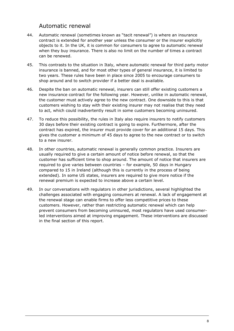#### Automatic renewal

- 44. Automatic renewal (sometimes known as "tacit renewal") is where an insurance contract is extended for another year unless the consumer or the insurer explicitly objects to it. In the UK, it is common for consumers to agree to automatic renewal when they buy insurance. There is also no limit on the number of times a contract can be renewed.
- 45. This contrasts to the situation in Italy, where automatic renewal for third party motor insurance is banned, and for most other types of general insurance, it is limited to two years. These rules have been in place since 2005 to encourage consumers to shop around and to switch provider if a better deal is available.
- 46. Despite the ban on automatic renewal, insurers can still offer existing customers a new insurance contract for the following year. However, unlike in automatic renewal, the customer must actively agree to the new contract. One downside to this is that customers wishing to stay with their existing insurer may not realise that they need to act, which could inadvertently result in some customers becoming uninsured.
- 47. To reduce this possibility, the rules in Italy also require insurers to notify customers 30 days before their existing contract is going to expire. Furthermore, after the contract has expired, the insurer must provide cover for an additional 15 days. This gives the customer a minimum of 45 days to agree to the new contract or to switch to a new insurer.
- 48. In other countries, automatic renewal is generally common practice. Insurers are usually required to give a certain amount of notice before renewal, so that the customer has sufficient time to shop around. The amount of notice that insurers are required to give varies between countries – for example, 50 days in Hungary compared to 15 in Ireland (although this is currently in the process of being extended). In some US states, insurers are required to give more notice if the renewal premium is expected to increase above a certain level.
- 49. In our conversations with regulators in other jurisdictions, several highlighted the challenges associated with engaging consumers at renewal. A lack of engagement at the renewal stage can enable firms to offer less competitive prices to these customers. However, rather than restricting automatic renewal which can help prevent consumers from becoming uninsured, most regulators have used consumerled interventions aimed at improving engagement. These interventions are discussed in the final section of this report.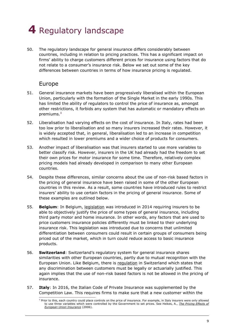

50. The regulatory landscape for general insurance differs considerably between countries, including in relation to pricing practices. This has a significant impact on firms' ability to charge customers different prices for insurance using factors that do not relate to a consumer's insurance risk. Below we set out some of the key differences between countries in terms of how insurance pricing is regulated.

#### Europe

- 51. General insurance markets have been progressively liberalised within the European Union, particularly with the formation of the Single Market in the early 1990s. This has limited the ability of regulators to control the price of insurance as, amongst other restrictions, it forbids any system that has automatic or mandatory effects on premiums. 4
- 52. Liberalisation had varying effects on the cost of insurance. In Italy, rates had been too low prior to liberalisation and so many insurers increased their rates. However, it is widely accepted that, in general, liberalisation led to an increase in competition which resulted in lower premiums and a wider choice of products for consumers.
- 53. Another impact of liberalisation was that insurers started to use more variables to better classify risk. However, insurers in the UK had already had the freedom to set their own prices for motor insurance for some time. Therefore, relatively complex pricing models had already developed in comparison to many other European countries.
- 54. Despite these differences, similar concerns about the use of non-risk based factors in the pricing of general insurance have been raised in some of the other European countries in this review. As a result, some countries have introduced rules to restrict insurers' ability to use certain factors in the pricing of general insurance. Some of these examples are outlined below.
- 55. **Belgium**: In Belgium, [legislation](https://www.fsma.be/fr/node/7464) was introduced in 2014 requiring insurers to be able to objectively justify the price of some types of general insurance, including third party motor and home insurance. In other words, any factors that are used to price customers insurance policies differently must be linked to their underlying insurance risk. This legislation was introduced due to concerns that unlimited differentiation between consumers could result in certain groups of consumers being priced out of the market, which in turn could reduce access to basic insurance products.
- 56. **Switzerland**: Switzerland's regulatory system for general insurance shares similarities with other European countries, partly due to mutual recognition with the European Union. Like Belgium, there is [regulation](https://www.admin.ch/opc/de/classified-compilation/20051132/index.html#a117) in Switzerland which states that any discrimination between customers must be legally or actuarially justified. This again implies that the use of non-risk based factors is not be allowed in the pricing of insurance.
- 57. **Italy**: In 2016, the Italian Code of Private Insurance was supplemented by the Competition Law. This requires firms to make sure that a new customer within the

<sup>4</sup> Prior to this, each country could place controls on the price of insurance. For example, in Italy insurers were only allowed to use three variables which were controlled by the Government to set prices. See Heikes, A., *[The Pricing Effects of](https://pdfs.semanticscholar.org/d795/79df6a5accb918760b2ef53e8285b9f566da.pdf)  [European Union Insurance](https://pdfs.semanticscholar.org/d795/79df6a5accb918760b2ef53e8285b9f566da.pdf)* (2006).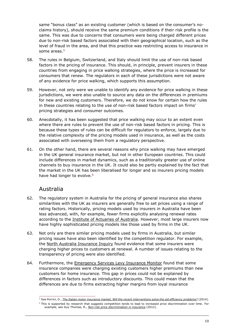same "bonus class" as an existing customer (which is based on the consumer's noclaims history), should receive the same premium conditions if their risk profile is the same. This was due to concerns that consumers were being charged different prices due to non-risk based factors associated with their geographical location, such as the level of fraud in the area, and that this practice was restricting access to insurance in some areas. 5

- 58. The rules in Belgium, Switzerland, and Italy should limit the use of non-risk based factors in the pricing of insurance. This should, in principle, prevent insurers in these countries from engaging in price walking strategies, where the price is increased for consumers that renew. The regulators in each of these jurisdictions were not aware of any evidence for price walking, which supports this assumption.
- 59. However, not only were we unable to identify any evidence for price walking in these jurisdictions, we were also unable to source any data on the differences in premiums for new and existing customers. Therefore, we do not know for certain how the rules in these countries relating to the use of non-risk based factors impact on firms' pricing strategies and consumer outcomes.
- 60. Anecdotally, it has been suggested that price walking may occur to an extent even where there are rules to prevent the use of non-risk based factors in pricing. This is because these types of rules can be difficult for regulators to enforce, largely due to the relative complexity of the pricing models used in insurance, as well as the costs associated with overseeing them from a regulatory perspective.
- 61. On the other hand, there are several reasons why price walking may have emerged in the UK general insurance market, but not in other European countries. This could include differences in market dynamics, such as a traditionally greater use of online channels to buy insurance in the UK. It could also be partly explained by the fact that the market in the UK has been liberalised for longer and so insurers pricing models have had longer to evolve.<sup>6</sup>

## Australia

- 62. The regulatory system in Australia for the pricing of general insurance also shares similarities with the UK as insurers are generally free to set prices using a range of rating factors. Historically, pricing models used by insurers in Australia have been less advanced, with, for example, fewer firms explicitly analysing renewal rates according to the [Institute of Actuaries of Australia.](https://actuaries.asn.au/Library/GI03paperdriussi.pdf) However, most large insurers now have highly sophisticated pricing models like those used by firms in the UK.
- 63. Not only are there similar pricing models used by firms in Australia, but similar pricing issues have also been identified by the competition regulator. For example, the [North Australia Insurance Inquiry](https://www.accc.gov.au/system/files/Northern%20Australia%20Insurance%20Inquiry%20-%20First%20interim%20report%202018.PDF) found evidence that some insurers were charging higher prices to customers at renewal. A number of issues relating to the transparency of pricing were also identified.
- 64. Furthermore, the [Emergency Services Levy Insurance Monitor](https://www.eslinsurancemonitor.nsw.gov.au/sites/default/files/DiscussionPaper_Pricing_New%26Renewals_FINAL.pdf) found that some insurance companies were charging existing customers higher premiums than new customers for home insurance. This gap in prices could not be explained by differences in factors such as introductory discounts. This could mean that the differences are due to firms extracting higher margins from loyal insurance

<sup>5</sup> See Porrini, D., *[The Italian motor insurance market, Will the recent interventions solve the old efficiency problems?](https://www.researchgate.net/publication/263703292_The_Italian_Motor_Insurance_Market_Will_the_Recent_Interventions_Solve_the_Old_Efficiency_Problems)* (2014).

<sup>6</sup> This is supported by research that suggests competition tends to lead to increased price discrimination over time. For example, see Guy Thomas, R., *[Non-risk price discrimination in insurance](https://link.springer.com/content/pdf/10.1057%2Fgpp.2011.32.pdf)* (2012).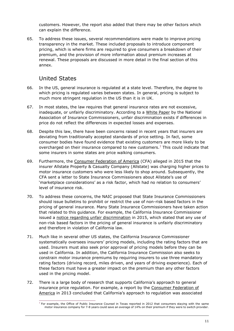customers. However, the report also added that there may be other factors which can explain the difference.

65. To address these issues, several recommendations were made to improve pricing transparency in the market. These included proposals to introduce component pricing, which is where firms are required to give consumers a breakdown of their premium, and the provision of more information about premium increases at renewal. These proposals are discussed in more detail in the final section of this annex.

## United States

- 66. In the US, general insurance is regulated at a state level. Therefore, the degree to which pricing is regulated varies between states. In general, pricing is subject to much more stringent regulation in the US than it is in UK.
- 67. In most states, the law requires that general insurance rates are not excessive, inadequate, or unfairly discriminatory. According to a [White Paper](https://www.naic.org/documents/committees_c_catf_related_price_optimization_white_paper.pdf) by the National Association of Insurance Commissioners, unfair discrimination exists if differences in price do not reflect the differences in expected losses and expenses.
- 68. Despite this law, there have been concerns raised in recent years that insurers are deviating from traditionally accepted standards of price setting. In fact, some consumer bodies have found evidence that existing customers are more likely to be overcharged on their insurance compared to new customers.<sup>7</sup> This could indicate that some insurers in some states are price walking consumers.
- 69. Furthermore, the [Consumer Federation of America](https://consumerfed.org/press_release/allstate-files-illegal-auto-insurance-rates-multiple-states/) (CFA) alleged in 2015 that the insurer Allstate Property & Casualty Company (Allstate) was charging higher prices to motor insurance customers who were less likely to shop around. Subsequently, the CFA sent a letter to State Insurance Commissioners about Allstate's use of 'marketplace considerations' as a risk factor, which had no relation to consumers' level of insurance risk.
- 70. To address these concerns, the NAIC proposed that State Insurance Commissioners should issue bulletins to prohibit or restrict the use of non-risk based factors in the pricing of general insurance. Many State Insurance Commissioners have taken action that related to this guidance. For example, the California Insurance Commissioner issued a [notice regarding unfair discrimination](http://www.insurance.ca.gov/0250-insurers/0300-insurers/0200-bulletins/bulletin-notices-commiss-opinion/upload/PriceOptimization.pdf) in 2015, which stated that any use of non-risk based factors in the pricing of general insurance is unfairly discriminatory and therefore in violation of California law.
- 71. Much like in several other US states, the California Insurance Commissioner systematically oversees insurers' pricing models, including the rating factors that are used. Insurers must also seek prior approval of pricing models before they can be used in California. In addition, the California Insurance Commission also seeks to constrain motor insurance premiums by requiring insurers to use three mandatory rating factors (driving record, miles driven, and years of driving experience). Each of these factors must have a greater impact on the premium than any other factors used in the pricing model.
- 72. There is a large body of research that supports California's approach to general insurance price regulation. For example, a report by the [Consumer Federation of](https://consumerfed.org/wp-content/uploads/2019/02/auto-insurance-regulation-what-works-2019.pdf)  [America](https://consumerfed.org/wp-content/uploads/2019/02/auto-insurance-regulation-what-works-2019.pdf) in 2013 concluded that California's approach to regulation was associated

<sup>7</sup> For example, the Office of Public Insurance Counsel in Texas reported in 2012 that consumers staying with the same motor insurance company for 7-8 years could save an average of 14% on their premium if they were to switch provider.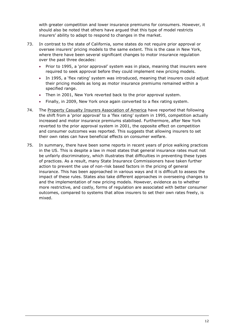with greater competition and lower insurance premiums for consumers. However, it should also be noted that others have argued that this type of model restricts insurers' ability to adapt to respond to changes in the market.

- 73. In contrast to the state of California, some states do not require prior approval or oversee insurers' pricing models to the same extent. This is the case in New York, where there have been several significant changes to motor insurance regulation over the past three decades:
	- Prior to 1995, a 'prior approval' system was in place, meaning that insurers were required to seek approval before they could implement new pricing models.
	- In 1995, a 'flex rating' system was introduced, meaning that insurers could adjust their pricing models as long as motor insurance premiums remained within a specified range.
	- Then in 2001, New York reverted back to the prior approval system.
	- Finally, in 2009, New York once again converted to a flex rating system.
- 74. The [Property Casualty Insurers Association of America](https://www.leg.state.nv.us/Session/76th2011/Exhibits/Assembly/CMC/ACMC279L.pdf) have reported that following the shift from a 'prior approval' to a 'flex rating' system in 1995, competition actually increased and motor insurance premiums stabilised. Furthermore, after New York reverted to the prior approval system in 2001, the opposite effect on competition and consumer outcomes was reported. This suggests that allowing insurers to set their own rates can have beneficial effects on consumer welfare.
- 75. In summary, there have been some reports in recent years of price walking practices in the US. This is despite a law in most states that general insurance rates must not be unfairly discriminatory, which illustrates that difficulties in preventing these types of practices. As a result, many State Insurance Commissioners have taken further action to prevent the use of non-risk based factors in the pricing of general insurance. This has been approached in various ways and it is difficult to assess the impact of these rules. States also take different approaches in overseeing changes to and the implementation of new pricing models. However, evidence as to whether more restrictive, and costly, forms of regulation are associated with better consumer outcomes, compared to systems that allow insurers to set their own rates freely, is mixed.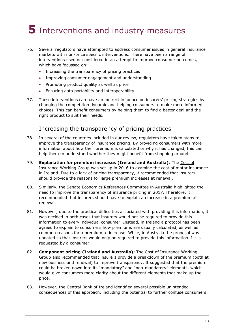## **5** Interventions and industry measures

- 76. Several regulators have attempted to address consumer issues in general insurance markets with non-price specific interventions. There have been a range of interventions used or considered in an attempt to improve consumer outcomes, which have focussed on:
	- Increasing the transparency of pricing practices
	- Improving consumer engagement and understanding
	- Promoting product quality as well as price
	- Ensuring data portability and interoperability
- 77. These interventions can have an indirect influence on insurers' pricing strategies by changing the competition dynamic and helping consumers to make more informed choices. This can benefit consumers by helping them to find a better deal and the right product to suit their needs.

### Increasing the transparency of pricing practices

- 78. In several of the countries included in our review, regulators have taken steps to improve the transparency of insurance pricing. By providing consumers with more information about how their premium is calculated or why it has changed, this can help them to understand whether they might benefit from shopping around.
- 79. **Explanation for premium increases (Ireland and Australia)**: The [Cost of](http://www.finance.gov.ie/wp-content/uploads/2017/07/170110-Report-on-the-Cost-of-Motor-Insurance-2017.pdf)  [Insurance Working Group](http://www.finance.gov.ie/wp-content/uploads/2017/07/170110-Report-on-the-Cost-of-Motor-Insurance-2017.pdf) was set up in 2016 to examine the cost of motor insurance in Ireland. Due to a lack of pricing transparency, it recommended that insurers should provide the reasons for large premium increases at renewal.
- 80. Similarly, the [Senate Economics References Committee](https://www.aph.gov.au/Parliamentary_Business/Committees/Senate/Economics/Generalinsurance/Report) in Australia highlighted the need to improve the transparency of insurance pricing in 2017. Therefore, it recommended that insurers should have to explain an increase in a premium at renewal.
- 81. However, due to the practical difficulties associated with providing this information, it was decided in both cases that insurers would not be required to provide this information to every individual consumer. Instead, in Ireland a protocol has been agreed to explain to consumers how premiums are usually calculated, as well as common reasons for a premium to increase. While, in Australia the proposal was updated so that insurers would only be required to provide this information if it is requested by a consumer.
- 82. **Component pricing (Ireland and Australia):** The Cost of Insurance Working Group also recommended that insurers provide a breakdown of the premium (both at new business and renewal) to improve transparency. It suggested that the premium could be broken down into its "mandatory" and "non-mandatory" elements, which would give consumers more clarity about the different elements that make up the price.
- 83. However, the Central Bank of Ireland identified several possible unintended consequences of this approach, including the potential to further confuse consumers.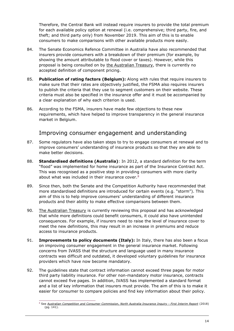Therefore, the Central Bank will instead require insurers to provide the total premium for each available policy option at renewal (i.e. comprehensive; third party, fire, and theft; and third party only) from November 2019. This aim of this is to enable consumers to make comparisons with other available products more easily.

- 84. The Senate Economics Refence Committee in Australia have also recommended that insurers provide consumers with a breakdown of their premium (for example, by showing the amount attributable to flood cover or taxes). However, while this proposal is being consulted on by [the Australian Treasury,](https://treasury.gov.au/consultation/c2019-t354736) there is currently no accepted definition of component pricing.
- 85. **Publication of rating factors (Belgium):** Along with rules that require insurers to make sure that their rates are objectively justified, the FSMA also requires insurers to publish the criteria that they use to segment customers on their website. These criteria must also be specified in the insurance offer and it must be accompanied by a clear explanation of why each criterion is used.
- 86. According to the FSMA, insurers have made few objections to these new requirements, which have helped to improve transparency in the general insurance market in Belgium.

## Improving consumer engagement and understanding

- 87. Some regulators have also taken steps to try to engage consumers at renewal and to improve consumers' understanding of insurance products so that they are able to make better decisions.
- 88. **Standardised definitions (Australia)**: In 2012, a standard definition for the term "flood" was implemented for home insurance as part of the Insurance Contract Act. This was recognised as a positive step in providing consumers with more clarity about what was included in their insurance cover.<sup>8</sup>
- 89. Since then, both the Senate and the Competition Authority have recommended that more standardised definitions are introduced for certain events (e.g. "storm"). This aim of this is to help improve consumers' understanding of different insurance products and their ability to make effective comparisons between them.
- 90. [The Australian Treasury](https://treasury.gov.au/consultation/c2019-t354736) is currently reviewing this proposal and has acknowledged that while more definitions could benefit consumers, it could also have unintended consequences. For example, if insurers need to raise the level of insurance cover to meet the new definitions, this may result in an increase in premiums and reduce access to insurance products.
- 91. **Improvements to policy documents (Italy):** In Italy, there has also been a focus on improving consumer engagement in the general insurance market. Following concerns from IVASS that the structure and language used in many insurance contracts was difficult and outdated, it developed voluntary guidelines for insurance providers which have now become mandatory.
- 92. The guidelines state that contract information cannot exceed three pages for motor third party liability insurance. For other non-mandatory motor insurance, contracts cannot exceed five pages. In addition, IVASS has implemented a standard format and a list of key information that insurers must provide. The aim of this is to make it easier for consumer to compare policies and find key information about their policy.

<sup>8</sup> See *Australian Competition and Consumer Commission, [North Australia Insurance Inquiry -](https://www.accc.gov.au/system/files/Northern%20Australia%20Insurance%20Inquiry%20-%20First%20interim%20report%202018.PDF) First Interim Report* (2018) (pg. 141).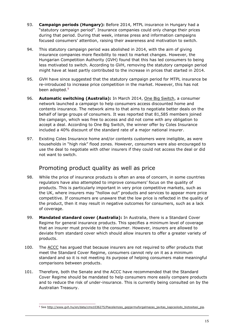- 93. **Campaign periods (Hungary):** Before 2014, MTPL insurance in Hungary had a "statutory campaign period". Insurance companies could only change their prices during that period. During that week, intense press and information campaigns focused consumers' attention, raising their awareness and motivation to switch.
- 94. This statutory campaign period was abolished in 2014, with the aim of giving insurance companies more flexibility to react to market changes. However, the Hungarian Competition Authority (GVH) found that this has led consumers to being less motivated to switch. According to GVH, removing the statutory campaign period might have at least partly contributed to the increase in prices that started in 2014.
- 95. GVH have since suggested that the statutory campaign period for MTPL insurance be re-introduced to increase price competition in the market. However, this has not been adopted.<sup>9</sup>
- 96. **Automatic switching (Australia):** In March 2014, [One Big Switch,](https://www.onebigswitch.com.au/campaigns/snapshots/the-big-insurance-switch#links) a consumer network launched a campaign to help consumers access discounted home and contents insurance. The network aims to that aims to negotiate better deals on the behalf of large groups of consumers. It was reported that 81,585 members joined the campaign, which was free to access and did not come with any obligation to accept a deal. According to One Big Switch, the winner offer by Coles Insurance included a 40% discount of the standard rate of a major national insurer.
- 97. Existing Coles Insurance home and/or contents customers were ineligible, as were households in "high risk" flood zones. However, consumers were also encouraged to use the deal to negotiate with other insurers if they could not access the deal or did not want to switch.

## Promoting product quality as well as price

- 98. While the price of insurance products is often an area of concern, in some countries regulators have also attempted to improve consumers' focus on the quality of products. This is particularly important in very price competitive markets, such as the UK, where insurers may "hollow out" products and services to appear more price competitive. If consumers are unaware that the low price is reflected in the quality of the product, then it may result in negative outcomes for consumers, such as a lack of coverage.
- 99. **Mandated standard cover (Australia):** In Australia, there is a Standard Cover Regime for general insurance products. This specifies a minimum level of coverage that an insurer must provide to the consumer. However, insurers are allowed to deviate from standard cover which should allow insurers to offer a greater variety of products.
- 100. The [ACCC](https://www.accc.gov.au/system/files/Northern%20Australia%20Insurance%20Inquiry%20-%20First%20interim%20report%202018.PDF) has argued that because insurers are not required to offer products that meet the Standard Cover Regime, consumers cannot rely on it as a minimum standard and so it is not meeting its purpose of helping consumers make meaningful comparisons between products.
- 101. Therefore, both the Senate and the ACCC have recommended that the Standard Cover Regime should be mandated to help consumers more easily compare products and to reduce the risk of under-insurance. This is currently being consulted on by the Australian Treasury.

<sup>9</sup> See [http://www.gvh.hu/en/data/cms1036275/Piacelemzes\\_gepjarmuforgalmazas\\_javitas\\_kapcsolodo\\_biztositasi\\_pia.](http://www.gvh.hu/en/data/cms1036275/Piacelemzes_gepjarmuforgalmazas_javitas_kapcsolodo_biztositasi_pia)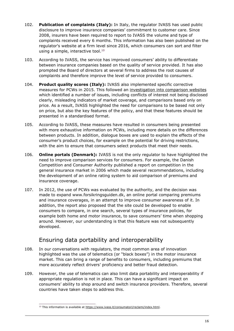- 102. **Publication of complaints (Italy):** In Italy, the regulator IVASS has used public disclosure to improve insurance companies' commitment to customer care. Since 2008, insurers have been required to report to IVASS the volume and type of complaints received every 6 months. This information has also been published on the regulator's website at a firm level since 2016, which consumers can sort and filter using a simple, interactive tool. $10$
- 103. According to IVASS, the service has improved consumers' ability to differentiate between insurance companies based on the quality of service provided. It has also prompted the Board of directors at several firms to address the root causes of complaints and therefore improve the level of service provided to consumers.
- 104. **Product quality scores (Italy):** IVASS also implemented specific corrective measures for PCWs in 2015. This followed an [investigation into comparison websites](https://www.ivass.it/consumatori/azioni-tutela/indagini-tematiche/documenti/INVESTIGATION_INTO_COMPARISON_WEBSITES_IN_THE_ITALIAN_INSURANCE_MARKET.pdf?language_id=3) which identified a number of issues, including conflicts of interest not being disclosed clearly, misleading indicators of market coverage, and comparisons based only on price. As a result, IVASS highlighted the need for comparisons to be based not only on price, but also the key features of the policy, and that these features should be presented in a standardised format.
- 105. According to IVASS, these measures have resulted in consumers being presented with more exhaustive information on PCWs, including more details on the differences between products. In addition, dialogue boxes are used to explain the effects of the consumer's product choices, for example on the potential for driving restrictions, with the aim to ensure that consumers select products that meet their needs.
- 106. **Online portals (Denmark):** IVASS is not the only regulator to have highlighted the need to improve comparison services for consumers. For example, the Danish Competition and Consumer Authority published a report on competition in the general insurance market in 2006 which made several recommendations, including the development of an online rating system to aid comparison of premiums and insurance coverage.
- 107. In 2012, the use of PCWs was evaluated by the authority, and the decision was made to expand [www.forsikringsguiden.dk,](http://www.forsikringsguiden.dk/) an online portal comparing premiums and insurance coverages, in an attempt to improve consumer awareness of it. In addition, the report also proposed that the site could be developed to enable consumers to compare, in one search, several types of insurance policies, for example both home and motor insurance, to save consumers' time when shopping around. However, our understanding is that this feature was not subsequently developed.

## Ensuring data portability and interoperability

- 108. In our conversations with regulators, the most common area of innovation highlighted was the use of telematics (or "black boxes") in the motor insurance market. This can bring a range of benefits to consumers, including premiums that more accurately reflect drivers' proficiency and better fraud detection.
- 109. However, the use of telematics can also limit data portability and interoperability if appropriate regulation is not in place. This can have a significant impact on consumers' ability to shop around and switch insurance providers. Therefore, several countries have taken steps to address this.

 $10$  This information is available at [https://www.ivass.it/consumatori/reclami/index.html.](https://www.ivass.it/consumatori/reclami/index.html)